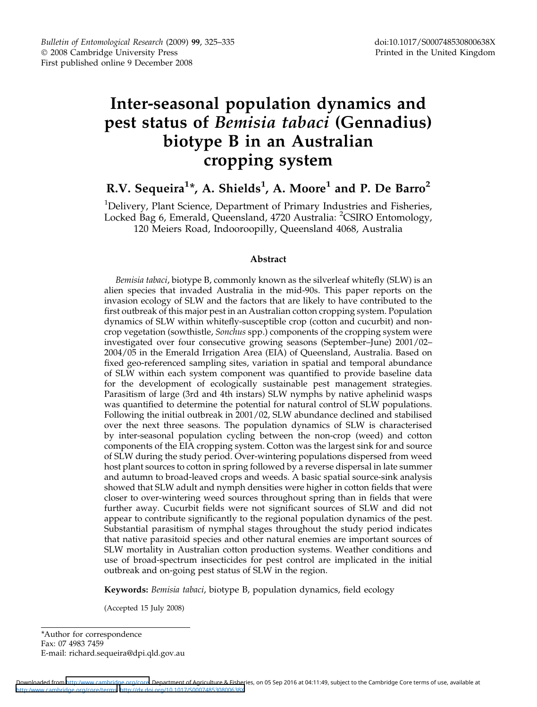# Inter-seasonal population dynamics and pest status of Bemisia tabaci (Gennadius) biotype B in an Australian cropping system

## R.V. Sequeira $^{1\ast}$ , A. Shields $^{1}$ , A. Moore $^{1}$  and P. De Barro $^{2}$

<sup>1</sup>Delivery, Plant Science, Department of Primary Industries and Fisheries, Locked Bag 6, Emerald, Queensland, 4720 Australia: <sup>2</sup>CSIRO Entomology, 120 Meiers Road, Indooroopilly, Queensland 4068, Australia

## Abstract

Bemisia tabaci, biotype B, commonly known as the silverleaf whitefly (SLW) is an alien species that invaded Australia in the mid-90s. This paper reports on the invasion ecology of SLW and the factors that are likely to have contributed to the first outbreak of this major pest in an Australian cotton cropping system. Population dynamics of SLW within whitefly-susceptible crop (cotton and cucurbit) and noncrop vegetation (sowthistle, Sonchus spp.) components of the cropping system were investigated over four consecutive growing seasons (September–June) 2001/02– 2004/05 in the Emerald Irrigation Area (EIA) of Queensland, Australia. Based on fixed geo-referenced sampling sites, variation in spatial and temporal abundance of SLW within each system component was quantified to provide baseline data for the development of ecologically sustainable pest management strategies. Parasitism of large (3rd and 4th instars) SLW nymphs by native aphelinid wasps was quantified to determine the potential for natural control of SLW populations. Following the initial outbreak in 2001/02, SLW abundance declined and stabilised over the next three seasons. The population dynamics of SLW is characterised by inter-seasonal population cycling between the non-crop (weed) and cotton components of the EIA cropping system. Cotton was the largest sink for and source of SLW during the study period. Over-wintering populations dispersed from weed host plant sources to cotton in spring followed by a reverse dispersal in late summer and autumn to broad-leaved crops and weeds. A basic spatial source-sink analysis showed that SLW adult and nymph densities were higher in cotton fields that were closer to over-wintering weed sources throughout spring than in fields that were further away. Cucurbit fields were not significant sources of SLW and did not appear to contribute significantly to the regional population dynamics of the pest. Substantial parasitism of nymphal stages throughout the study period indicates that native parasitoid species and other natural enemies are important sources of SLW mortality in Australian cotton production systems. Weather conditions and use of broad-spectrum insecticides for pest control are implicated in the initial outbreak and on-going pest status of SLW in the region.

Keywords: Bemisia tabaci, biotype B, population dynamics, field ecology

(Accepted 15 July 2008)

\*Author for correspondence Fax: 07 4983 7459 E-mail: richard.sequeira@dpi.qld.gov.au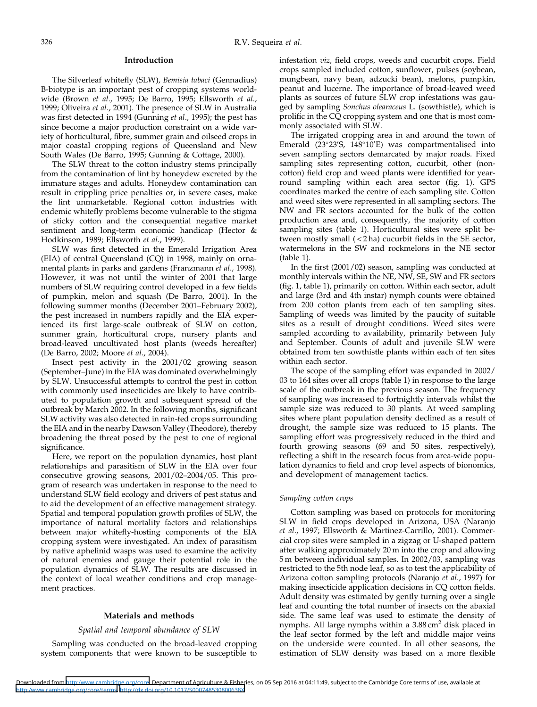## Introduction

The Silverleaf whitefly (SLW), Bemisia tabaci (Gennadius) B-biotype is an important pest of cropping systems worldwide (Brown et al., 1995; De Barro, 1995; Ellsworth et al., 1999; Oliveira et al., 2001). The presence of SLW in Australia was first detected in 1994 (Gunning et al., 1995); the pest has since become a major production constraint on a wide variety of horticultural, fibre, summer grain and oilseed crops in major coastal cropping regions of Queensland and New South Wales (De Barro, 1995; Gunning & Cottage, 2000).

The SLW threat to the cotton industry stems principally from the contamination of lint by honeydew excreted by the immature stages and adults. Honeydew contamination can result in crippling price penalties or, in severe cases, make the lint unmarketable. Regional cotton industries with endemic whitefly problems become vulnerable to the stigma of sticky cotton and the consequential negative market sentiment and long-term economic handicap (Hector & Hodkinson, 1989; Ellsworth et al., 1999).

SLW was first detected in the Emerald Irrigation Area (EIA) of central Queensland (CQ) in 1998, mainly on ornamental plants in parks and gardens (Franzmann et al., 1998). However, it was not until the winter of 2001 that large numbers of SLW requiring control developed in a few fields of pumpkin, melon and squash (De Barro, 2001). In the following summer months (December 2001–February 2002), the pest increased in numbers rapidly and the EIA experienced its first large-scale outbreak of SLW on cotton, summer grain, horticultural crops, nursery plants and broad-leaved uncultivated host plants (weeds hereafter) (De Barro, 2002; Moore et al., 2004).

Insect pest activity in the 2001/02 growing season (September–June) in the EIA was dominated overwhelmingly by SLW. Unsuccessful attempts to control the pest in cotton with commonly used insecticides are likely to have contributed to population growth and subsequent spread of the outbreak by March 2002. In the following months, significant SLW activity was also detected in rain-fed crops surrounding the EIA and in the nearby Dawson Valley (Theodore), thereby broadening the threat posed by the pest to one of regional significance.

Here, we report on the population dynamics, host plant relationships and parasitism of SLW in the EIA over four consecutive growing seasons, 2001/02–2004/05. This program of research was undertaken in response to the need to understand SLW field ecology and drivers of pest status and to aid the development of an effective management strategy. Spatial and temporal population growth profiles of SLW, the importance of natural mortality factors and relationships between major whitefly-hosting components of the EIA cropping system were investigated. An index of parasitism by native aphelinid wasps was used to examine the activity of natural enemies and gauge their potential role in the population dynamics of SLW. The results are discussed in the context of local weather conditions and crop management practices.

#### Materials and methods

## Spatial and temporal abundance of SLW

Sampling was conducted on the broad-leaved cropping system components that were known to be susceptible to infestation viz, field crops, weeds and cucurbit crops. Field crops sampled included cotton, sunflower, pulses (soybean, mungbean, navy bean, adzucki bean), melons, pumpkin, peanut and lucerne. The importance of broad-leaved weed plants as sources of future SLW crop infestations was gauged by sampling Sonchus olearaceus L. (sowthistle), which is prolific in the CQ cropping system and one that is most commonly associated with SLW.

The irrigated cropping area in and around the town of Emerald (23°23'S, 148°10'E) was compartmentalised into seven sampling sectors demarcated by major roads. Fixed sampling sites representing cotton, cucurbit, other (noncotton) field crop and weed plants were identified for yearround sampling within each area sector (fig. 1). GPS coordinates marked the centre of each sampling site. Cotton and weed sites were represented in all sampling sectors. The NW and FR sectors accounted for the bulk of the cotton production area and, consequently, the majority of cotton sampling sites (table 1). Horticultural sites were split between mostly small ( < 2 ha) cucurbit fields in the SE sector, watermelons in the SW and rockmelons in the NE sector (table 1).

In the first (2001/02) season, sampling was conducted at monthly intervals within the NE, NW, SE, SW and FR sectors (fig. 1, table 1), primarily on cotton. Within each sector, adult and large (3rd and 4th instar) nymph counts were obtained from 200 cotton plants from each of ten sampling sites. Sampling of weeds was limited by the paucity of suitable sites as a result of drought conditions. Weed sites were sampled according to availability, primarily between July and September. Counts of adult and juvenile SLW were obtained from ten sowthistle plants within each of ten sites within each sector.

The scope of the sampling effort was expanded in 2002/ 03 to 164 sites over all crops (table 1) in response to the large scale of the outbreak in the previous season. The frequency of sampling was increased to fortnightly intervals whilst the sample size was reduced to 30 plants. At weed sampling sites where plant population density declined as a result of drought, the sample size was reduced to 15 plants. The sampling effort was progressively reduced in the third and fourth growing seasons (69 and 50 sites, respectively), reflecting a shift in the research focus from area-wide population dynamics to field and crop level aspects of bionomics, and development of management tactics.

## Sampling cotton crops

Cotton sampling was based on protocols for monitoring SLW in field crops developed in Arizona, USA (Naranjo et al., 1997; Ellsworth & Martinez-Carrillo, 2001). Commercial crop sites were sampled in a zigzag or U-shaped pattern after walking approximately 20 m into the crop and allowing 5 m between individual samples. In 2002/03, sampling was restricted to the 5th node leaf, so as to test the applicability of Arizona cotton sampling protocols (Naranjo et al., 1997) for making insecticide application decisions in CQ cotton fields. Adult density was estimated by gently turning over a single leaf and counting the total number of insects on the abaxial side. The same leaf was used to estimate the density of nymphs. All large nymphs within a  $3.88 \text{ cm}^2$  disk placed in the leaf sector formed by the left and middle major veins on the underside were counted. In all other seasons, the estimation of SLW density was based on a more flexible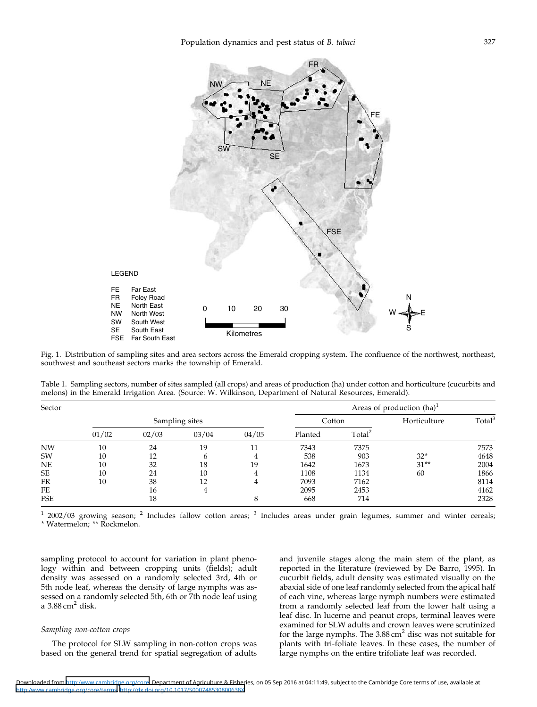

Fig. 1. Distribution of sampling sites and area sectors across the Emerald cropping system. The confluence of the northwest, northeast, southwest and southeast sectors marks the township of Emerald.

Table 1. Sampling sectors, number of sites sampled (all crops) and areas of production (ha) under cotton and horticulture (cucurbits and melons) in the Emerald Irrigation Area. (Source: W. Wilkinson, Department of Natural Resources, Emerald).

| Sector    |                |       |       |       | Areas of production $(ha)^1$ |                    |              |                    |  |
|-----------|----------------|-------|-------|-------|------------------------------|--------------------|--------------|--------------------|--|
|           | Sampling sites |       |       |       | Cotton                       |                    | Horticulture | Total <sup>3</sup> |  |
|           | 01/02          | 02/03 | 03/04 | 04/05 | Planted                      | Total <sup>2</sup> |              |                    |  |
| <b>NW</b> | 10             | 24    | 19    | 11    | 7343                         | 7375               |              | 7573               |  |
| SW        | 10             | 12    | 6     |       | 538                          | 903                | $32*$        | 4648               |  |
| NE        | 10             | 32    | 18    | 19    | 1642                         | 1673               | $31**$       | 2004               |  |
| SE        | 10             | 24    | 10    |       | 1108                         | 1134               | 60           | 1866               |  |
| FR        | 10             | 38    | 12    | 4     | 7093                         | 7162               |              | 8114               |  |
| FE        |                | 16    | 4     |       | 2095                         | 2453               |              | 4162               |  |
| FSE       |                | 18    |       | 8     | 668                          | 714                |              | 2328               |  |

 $12002/03$  growing season;  $2$  Includes fallow cotton areas;  $3$  Includes areas under grain legumes, summer and winter cereals;

\*Watermelon; \*\*Rockmelon.

sampling protocol to account for variation in plant phenology within and between cropping units (fields); adult density was assessed on a randomly selected 3rd, 4th or 5th node leaf, whereas the density of large nymphs was assessed on a randomly selected 5th, 6th or 7th node leaf using a  $3.88 \text{ cm}^2$  disk.

## Sampling non-cotton crops

The protocol for SLW sampling in non-cotton crops was based on the general trend for spatial segregation of adults and juvenile stages along the main stem of the plant, as reported in the literature (reviewed by De Barro, 1995). In cucurbit fields, adult density was estimated visually on the abaxial side of one leaf randomly selected from the apical half of each vine, whereas large nymph numbers were estimated from a randomly selected leaf from the lower half using a leaf disc. In lucerne and peanut crops, terminal leaves were examined for SLW adults and crown leaves were scrutinized for the large nymphs. The  $3.88 \text{ cm}^2$  disc was not suitable for plants with tri-foliate leaves. In these cases, the number of large nymphs on the entire trifoliate leaf was recorded.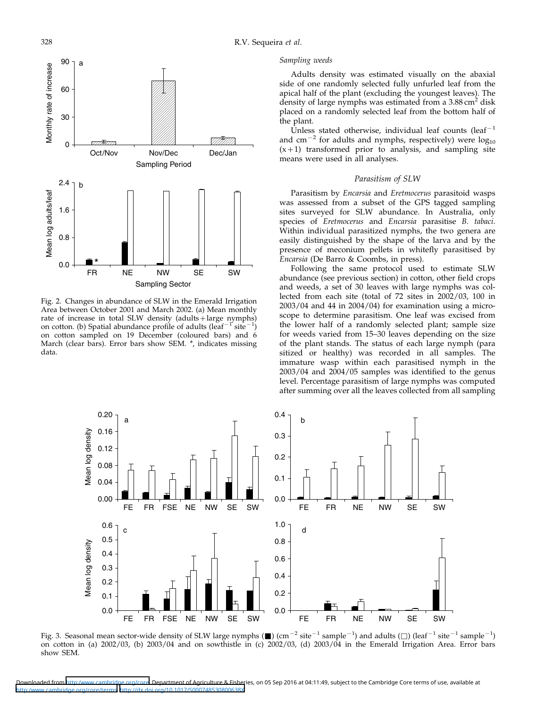

Fig. 2. Changes in abundance of SLW in the Emerald Irrigation Area between October 2001 and March 2002. (a) Mean monthly rate of increase in total SLW density (adults+large nymphs) on cotton. (b) Spatial abundance profile of adults (leaf<sup>-1'</sup>site<sup>-1'</sup>) on cotton sampled on 19 December (coloured bars) and 6 March (clear bars). Error bars show SEM. \*, indicates missing data.

#### Sampling weeds

Adults density was estimated visually on the abaxial side of one randomly selected fully unfurled leaf from the apical half of the plant (excluding the youngest leaves). The density of large nymphs was estimated from a 3.88 cm<sup>2</sup> disk placed on a randomly selected leaf from the bottom half of the plant.

Unless stated otherwise, individual leaf counts (leaf<sup>-1</sup> and cm<sup>-2</sup> for adults and nymphs, respectively) were  $log_{10}$  $(x+1)$  transformed prior to analysis, and sampling site means were used in all analyses.

## Parasitism of SLW

Parasitism by Encarsia and Eretmocerus parasitoid wasps was assessed from a subset of the GPS tagged sampling sites surveyed for SLW abundance. In Australia, only species of Eretmocerus and Encarsia parasitise B. tabaci. Within individual parasitized nymphs, the two genera are easily distinguished by the shape of the larva and by the presence of meconium pellets in whitefly parasitised by Encarsia (De Barro & Coombs, in press).

Following the same protocol used to estimate SLW abundance (see previous section) in cotton, other field crops and weeds, a set of 30 leaves with large nymphs was collected from each site (total of 72 sites in 2002/03, 100 in 2003/04 and 44 in 2004/04) for examination using a microscope to determine parasitism. One leaf was excised from the lower half of a randomly selected plant; sample size for weeds varied from 15–30 leaves depending on the size of the plant stands. The status of each large nymph (para sitized or healthy) was recorded in all samples. The immature wasp within each parasitised nymph in the 2003/04 and 2004/05 samples was identified to the genus level. Percentage parasitism of large nymphs was computed after summing over all the leaves collected from all sampling



Fig. 3. Seasonal mean sector-wide density of SLW large nymphs ( $\blacksquare$ ) (cm $^{-2}$  site $^{-1}$  sample $^{-1}$ ) and adults ( $\Box$ ) (leaf $^{-1}$  site $^{-1}$  sample $^{-1}$ ) on cotton in (a) 2002/03, (b) 2003/04 and on sowthistle in (c) 2002/03, (d) 2003/04 in the Emerald Irrigation Area. Error bars show SEM.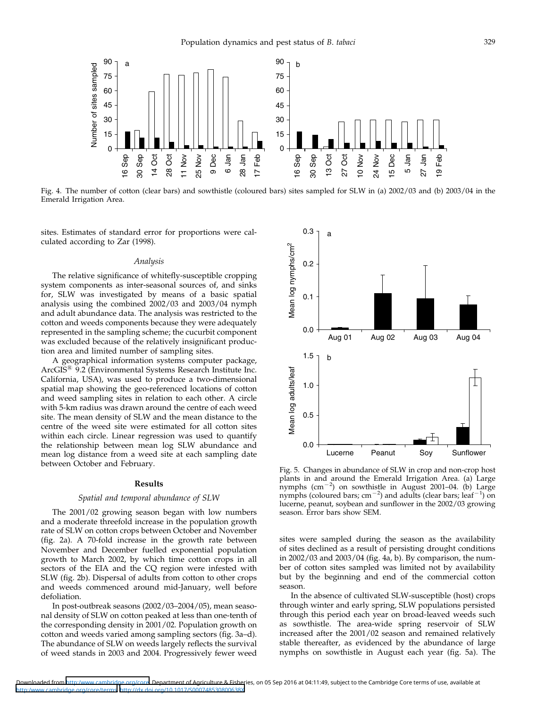

Fig. 4. The number of cotton (clear bars) and sowthistle (coloured bars) sites sampled for SLW in (a) 2002/03 and (b) 2003/04 in the Emerald Irrigation Area.

sites. Estimates of standard error for proportions were calculated according to Zar (1998).

#### Analysis

The relative significance of whitefly-susceptible cropping system components as inter-seasonal sources of, and sinks for, SLW was investigated by means of a basic spatial analysis using the combined 2002/03 and 2003/04 nymph and adult abundance data. The analysis was restricted to the cotton and weeds components because they were adequately represented in the sampling scheme; the cucurbit component was excluded because of the relatively insignificant production area and limited number of sampling sites.

A geographical information systems computer package, ArcGIS<sup>®</sup> 9.2 (Environmental Systems Research Institute Inc. California, USA), was used to produce a two-dimensional spatial map showing the geo-referenced locations of cotton and weed sampling sites in relation to each other. A circle with 5-km radius was drawn around the centre of each weed site. The mean density of SLW and the mean distance to the centre of the weed site were estimated for all cotton sites within each circle. Linear regression was used to quantify the relationship between mean log SLW abundance and mean log distance from a weed site at each sampling date between October and February.

#### Results

## Spatial and temporal abundance of SLW

The 2001/02 growing season began with low numbers and a moderate threefold increase in the population growth rate of SLW on cotton crops between October and November (fig. 2a). A 70-fold increase in the growth rate between November and December fuelled exponential population growth to March 2002, by which time cotton crops in all sectors of the EIA and the CQ region were infested with SLW (fig. 2b). Dispersal of adults from cotton to other crops and weeds commenced around mid-January, well before defoliation.

In post-outbreak seasons (2002/03–2004/05), mean seasonal density of SLW on cotton peaked at less than one-tenth of the corresponding density in 2001/02. Population growth on cotton and weeds varied among sampling sectors (fig. 3a–d). The abundance of SLW on weeds largely reflects the survival of weed stands in 2003 and 2004. Progressively fewer weed



Fig. 5. Changes in abundance of SLW in crop and non-crop host plants in and around the Emerald Irrigation Area. (a) Large nymphs  $\rm (cm^{-2})$  on sowthistle in August 2001–04. (b) Large nymphs (coloured bars; cm<sup>-2</sup>) and adults (clear bars; leaf<sup>-1</sup>) on lucerne, peanut, soybean and sunflower in the 2002/03 growing season. Error bars show SEM.

sites were sampled during the season as the availability of sites declined as a result of persisting drought conditions in 2002/03 and 2003/04 (fig. 4a, b). By comparison, the number of cotton sites sampled was limited not by availability but by the beginning and end of the commercial cotton season.

In the absence of cultivated SLW-susceptible (host) crops through winter and early spring, SLW populations persisted through this period each year on broad-leaved weeds such as sowthistle. The area-wide spring reservoir of SLW increased after the 2001/02 season and remained relatively stable thereafter, as evidenced by the abundance of large nymphs on sowthistle in August each year (fig. 5a). The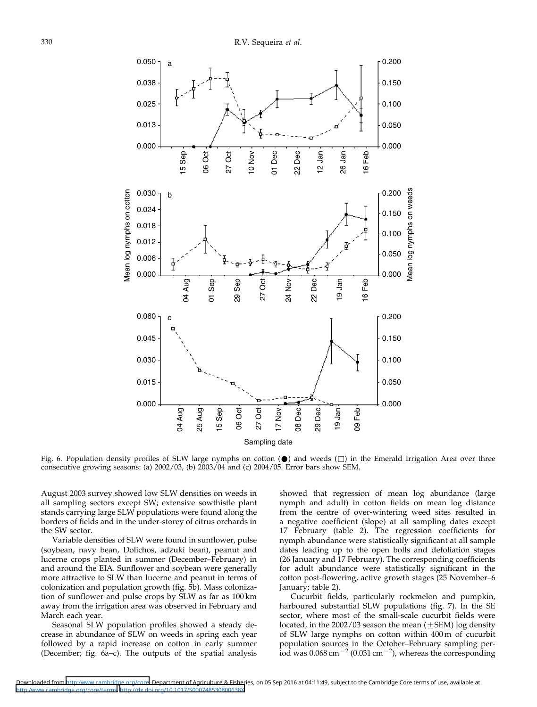

Fig. 6. Population density profiles of SLW large nymphs on cotton  $(\bullet)$  and weeds  $(\Box)$  in the Emerald Irrigation Area over three consecutive growing seasons: (a) 2002/03, (b) 2003/04 and (c) 2004/05. Error bars show SEM.

August 2003 survey showed low SLW densities on weeds in all sampling sectors except SW; extensive sowthistle plant stands carrying large SLW populations were found along the borders of fields and in the under-storey of citrus orchards in the SW sector.

Variable densities of SLW were found in sunflower, pulse (soybean, navy bean, Dolichos, adzuki bean), peanut and lucerne crops planted in summer (December–February) in and around the EIA. Sunflower and soybean were generally more attractive to SLW than lucerne and peanut in terms of colonization and population growth (fig. 5b). Mass colonization of sunflower and pulse crops by SLW as far as 100 km away from the irrigation area was observed in February and March each year.

Seasonal SLW population profiles showed a steady decrease in abundance of SLW on weeds in spring each year followed by a rapid increase on cotton in early summer (December; fig. 6a–c). The outputs of the spatial analysis showed that regression of mean log abundance (large nymph and adult) in cotton fields on mean log distance from the centre of over-wintering weed sites resulted in a negative coefficient (slope) at all sampling dates except 17 February (table 2). The regression coefficients for nymph abundance were statistically significant at all sample dates leading up to the open bolls and defoliation stages (26 January and 17 February). The corresponding coefficients for adult abundance were statistically significant in the cotton post-flowering, active growth stages (25 November–6 January; table 2).

Cucurbit fields, particularly rockmelon and pumpkin, harboured substantial SLW populations (fig. 7). In the SE sector, where most of the small-scale cucurbit fields were located, in the  $2002/03$  season the mean  $(\pm$ SEM) log density of SLW large nymphs on cotton within 400 m of cucurbit population sources in the October–February sampling per- $\frac{1}{100}$  was 0.068 cm<sup>-2</sup> (0.031 cm<sup>-2</sup>), whereas the corresponding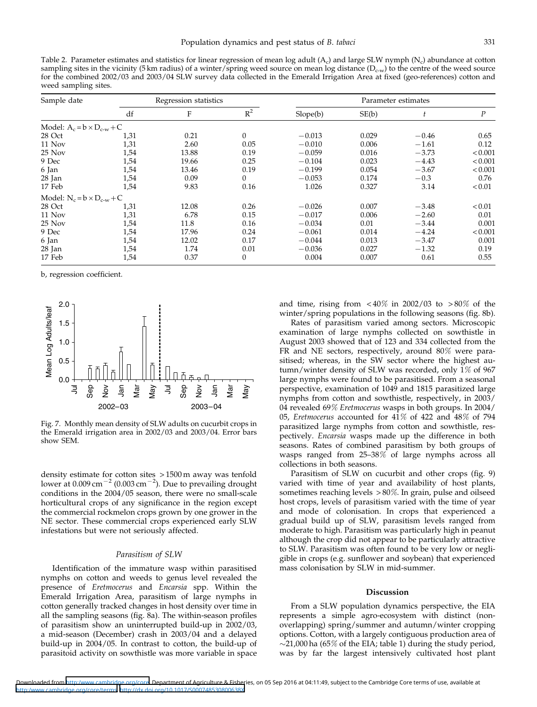Table 2. Parameter estimates and statistics for linear regression of mean log adult  $(A<sub>c</sub>)$  and large SLW nymph  $(N<sub>c</sub>)$  abundance at cotton sampling sites in the vicinity (5 km radius) of a winter/spring weed source on mean log distance ( $D_{c-w}$ ) to the centre of the weed source for the combined 2002/03 and 2003/04 SLW survey data collected in the Emerald Irrigation Area at fixed (geo-references) cotton and weed sampling sites.

| Sample date                         | Regression statistics |       |              | Parameter estimates |       |         |               |  |
|-------------------------------------|-----------------------|-------|--------------|---------------------|-------|---------|---------------|--|
|                                     | df                    | F     | $R^2$        | Slope(b)            | SE(b) |         | Ρ             |  |
| Model: $A_c = b \times D_{c-w} + C$ |                       |       |              |                     |       |         |               |  |
| 28 Oct                              | 1,31                  | 0.21  | $\Omega$     | $-0.013$            | 0.029 | $-0.46$ | 0.65          |  |
| 11 Nov                              | 1,31                  | 2.60  | 0.05         | $-0.010$            | 0.006 | $-1.61$ | 0.12          |  |
| 25 Nov                              | 1,54                  | 13.88 | 0.19         | $-0.059$            | 0.016 | $-3.73$ | < 0.001       |  |
| 9 Dec                               | 1,54                  | 19.66 | 0.25         | $-0.104$            | 0.023 | $-4.43$ | < 0.001       |  |
| 6 Jan                               | 1,54                  | 13.46 | 0.19         | $-0.199$            | 0.054 | $-3.67$ | < 0.001       |  |
| $28$ Jan                            | 1,54                  | 0.09  | 0            | $-0.053$            | 0.174 | $-0.3$  | 0.76          |  |
| 17 Feb                              | 1,54                  | 9.83  | 0.16         | 1.026               | 0.327 | 3.14    | < 0.01        |  |
| Model: $N_c = b \times D_{c-w} + C$ |                       |       |              |                     |       |         |               |  |
| 28 Oct                              | 1,31                  | 12.08 | 0.26         | $-0.026$            | 0.007 | $-3.48$ | ${}_{< 0.01}$ |  |
| 11 Nov                              | 1,31                  | 6.78  | 0.15         | $-0.017$            | 0.006 | $-2.60$ | 0.01          |  |
| $25$ Nov                            | 1,54                  | 11.8  | 0.16         | $-0.034$            | 0.01  | $-3.44$ | 0.001         |  |
| 9 Dec                               | 1,54                  | 17.96 | 0.24         | $-0.061$            | 0.014 | $-4.24$ | < 0.001       |  |
| 6 Jan                               | 1,54                  | 12.02 | 0.17         | $-0.044$            | 0.013 | $-3.47$ | 0.001         |  |
| $28$ Jan                            | 1,54                  | 1.74  | 0.01         | $-0.036$            | 0.027 | $-1.32$ | 0.19          |  |
| 17 Feb                              | 1,54                  | 0.37  | $\mathbf{0}$ | 0.004               | 0.007 | 0.61    | 0.55          |  |

b, regression coefficient.



Fig. 7. Monthly mean density of SLW adults on cucurbit crops in the Emerald irrigation area in 2002/03 and 2003/04. Error bars show SEM.

density estimate for cotton sites > 1500 m away was tenfold lower at  $0.009$  cm $^{-2}$  (0.003 cm $^{-2}$ ). Due to prevailing drought conditions in the 2004/05 season, there were no small-scale horticultural crops of any significance in the region except the commercial rockmelon crops grown by one grower in the NE sector. These commercial crops experienced early SLW infestations but were not seriously affected.

## Parasitism of SLW

Identification of the immature wasp within parasitised nymphs on cotton and weeds to genus level revealed the presence of Eretmocerus and Encarsia spp. Within the Emerald Irrigation Area, parasitism of large nymphs in cotton generally tracked changes in host density over time in all the sampling seasons (fig. 8a). The within-season profiles of parasitism show an uninterrupted build-up in 2002/03, a mid-season (December) crash in 2003/04 and a delayed build-up in 2004/05. In contrast to cotton, the build-up of parasitoid activity on sowthistle was more variable in space and time, rising from  $\lt 40\%$  in 2002/03 to  $>80\%$  of the winter/spring populations in the following seasons (fig. 8b).

Rates of parasitism varied among sectors. Microscopic examination of large nymphs collected on sowthistle in August 2003 showed that of 123 and 334 collected from the FR and NE sectors, respectively, around 80% were parasitised; whereas, in the SW sector where the highest autumn/winter density of SLW was recorded, only 1% of 967 large nymphs were found to be parasitised. From a seasonal perspective, examination of 1049 and 1815 parasitized large nymphs from cotton and sowthistle, respectively, in 2003/ 04 revealed 69% Eretmocerus wasps in both groups. In 2004/ 05, Eretmocerus accounted for  $4\overline{1}\%$  of  $42\overline{2}$  and  $48\%$  of 794 parasitized large nymphs from cotton and sowthistle, respectively. Encarsia wasps made up the difference in both seasons. Rates of combined parasitism by both groups of wasps ranged from 25–38% of large nymphs across all collections in both seasons.

Parasitism of SLW on cucurbit and other crops (fig. 9) varied with time of year and availability of host plants, sometimes reaching levels > 80%. In grain, pulse and oilseed host crops, levels of parasitism varied with the time of year and mode of colonisation. In crops that experienced a gradual build up of SLW, parasitism levels ranged from moderate to high. Parasitism was particularly high in peanut although the crop did not appear to be particularly attractive to SLW. Parasitism was often found to be very low or negligible in crops (e.g. sunflower and soybean) that experienced mass colonisation by SLW in mid-summer.

#### Discussion

From a SLW population dynamics perspective, the EIA represents a simple agro-ecosystem with distinct (nonoverlapping) spring/summer and autumn/winter cropping options. Cotton, with a largely contiguous production area of  $\sim$ 21,000 ha (65% of the EIA; table 1) during the study period, was by far the largest intensively cultivated host plant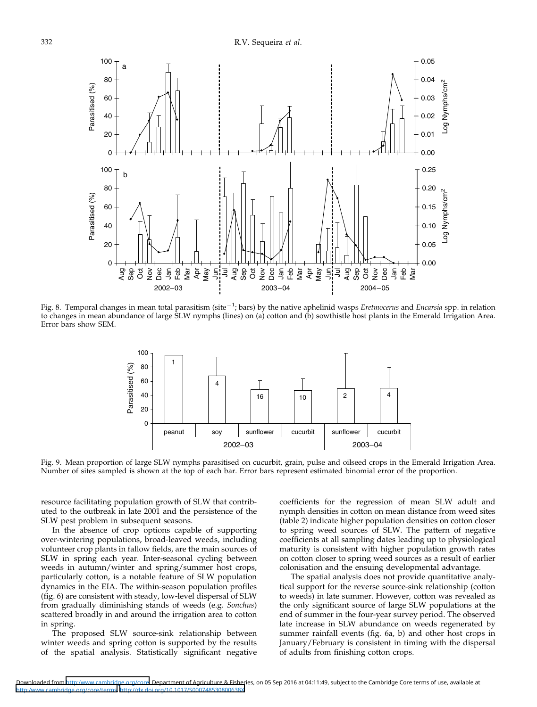

Fig. 8. Temporal changes in mean total parasitism (site $^{-1}$ ; bars) by the native aphelinid wasps Eretmocerus and Encarsia spp. in relation to changes in mean abundance of large SLW nymphs (lines) on (a) cotton and (b) sowthistle host plants in the Emerald Irrigation Area. Error bars show SEM.



Fig. 9. Mean proportion of large SLW nymphs parasitised on cucurbit, grain, pulse and oilseed crops in the Emerald Irrigation Area. Number of sites sampled is shown at the top of each bar. Error bars represent estimated binomial error of the proportion.

resource facilitating population growth of SLW that contributed to the outbreak in late 2001 and the persistence of the SLW pest problem in subsequent seasons.

In the absence of crop options capable of supporting over-wintering populations, broad-leaved weeds, including volunteer crop plants in fallow fields, are the main sources of SLW in spring each year. Inter-seasonal cycling between weeds in autumn/winter and spring/summer host crops, particularly cotton, is a notable feature of SLW population dynamics in the EIA. The within-season population profiles (fig. 6) are consistent with steady, low-level dispersal of SLW from gradually diminishing stands of weeds (e.g. Sonchus) scattered broadly in and around the irrigation area to cotton in spring.

The proposed SLW source-sink relationship between winter weeds and spring cotton is supported by the results of the spatial analysis. Statistically significant negative coefficients for the regression of mean SLW adult and nymph densities in cotton on mean distance from weed sites (table 2) indicate higher population densities on cotton closer to spring weed sources of SLW. The pattern of negative coefficients at all sampling dates leading up to physiological maturity is consistent with higher population growth rates on cotton closer to spring weed sources as a result of earlier colonisation and the ensuing developmental advantage.

The spatial analysis does not provide quantitative analytical support for the reverse source-sink relationship (cotton to weeds) in late summer. However, cotton was revealed as the only significant source of large SLW populations at the end of summer in the four-year survey period. The observed late increase in SLW abundance on weeds regenerated by summer rainfall events (fig. 6a, b) and other host crops in January/February is consistent in timing with the dispersal of adults from finishing cotton crops.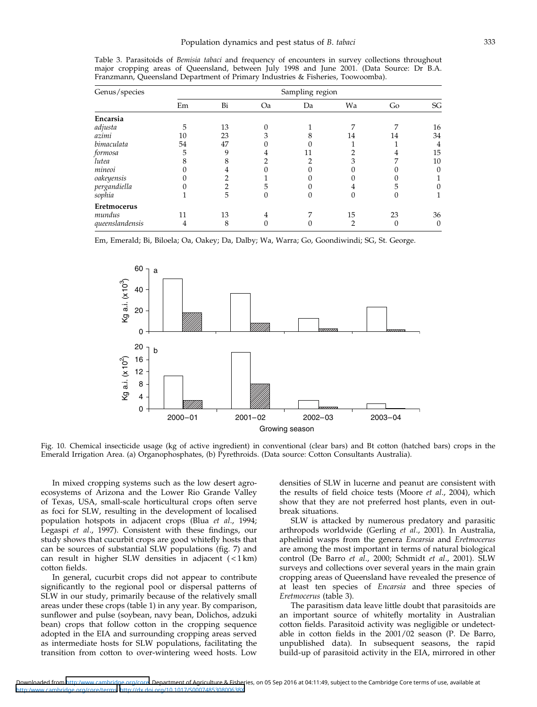| Genus/species   | Sampling region |    |    |    |    |    |          |  |
|-----------------|-----------------|----|----|----|----|----|----------|--|
|                 | Em              | Bi | Oa | Da | Wa | Go | SG       |  |
| Encarsia        |                 |    |    |    |    |    |          |  |
| adjusta         | 5               | 13 |    |    |    |    | 16       |  |
| azimi           | 10              | 23 |    |    | 14 | 14 | 34       |  |
| bimaculata      | 54              | 47 |    |    |    |    | 4        |  |
| formosa         | 5               | q  | 4  |    |    |    | 15       |  |
| lutea           |                 |    |    |    |    |    | 10       |  |
| mineoi          |                 |    |    |    |    |    | 0        |  |
| oakeyensis      |                 |    |    |    |    |    |          |  |
| pergandiella    |                 |    |    |    |    |    |          |  |
| sophia          |                 | 5  |    |    |    |    |          |  |
| Eretmocerus     |                 |    |    |    |    |    |          |  |
| mundus          | 11              | 13 | 4  |    | 15 | 23 | 36       |  |
| queenslandensis | 4               | 8  |    |    |    |    | $\Omega$ |  |

Table 3. Parasitoids of Bemisia tabaci and frequency of encounters in survey collections throughout major cropping areas of Queensland, between July 1998 and June 2001. (Data Source: Dr B.A. Franzmann, Queensland Department of Primary Industries & Fisheries, Toowoomba).

Em, Emerald; Bi, Biloela; Oa, Oakey; Da, Dalby; Wa, Warra; Go, Goondiwindi; SG, St. George.



Fig. 10. Chemical insecticide usage (kg of active ingredient) in conventional (clear bars) and Bt cotton (hatched bars) crops in the Emerald Irrigation Area. (a) Organophosphates, (b) Pyrethroids. (Data source: Cotton Consultants Australia).

In mixed cropping systems such as the low desert agroecosystems of Arizona and the Lower Rio Grande Valley of Texas, USA, small-scale horticultural crops often serve as foci for SLW, resulting in the development of localised population hotspots in adjacent crops (Blua et al., 1994; Legaspi et al., 1997). Consistent with these findings, our study shows that cucurbit crops are good whitefly hosts that can be sources of substantial SLW populations (fig. 7) and can result in higher SLW densities in adjacent ( < 1 km) cotton fields.

In general, cucurbit crops did not appear to contribute significantly to the regional pool or dispersal patterns of SLW in our study, primarily because of the relatively small areas under these crops (table 1) in any year. By comparison, sunflower and pulse (soybean, navy bean, Dolichos, adzuki bean) crops that follow cotton in the cropping sequence adopted in the EIA and surrounding cropping areas served as intermediate hosts for SLW populations, facilitating the transition from cotton to over-wintering weed hosts. Low

densities of SLW in lucerne and peanut are consistent with the results of field choice tests (Moore et al., 2004), which show that they are not preferred host plants, even in outbreak situations.

SLW is attacked by numerous predatory and parasitic arthropods worldwide (Gerling et al., 2001). In Australia, aphelinid wasps from the genera Encarsia and Eretmocerus are among the most important in terms of natural biological control (De Barro et al., 2000; Schmidt et al., 2001). SLW surveys and collections over several years in the main grain cropping areas of Queensland have revealed the presence of at least ten species of Encarsia and three species of Eretmocerus (table 3).

The parasitism data leave little doubt that parasitoids are an important source of whitefly mortality in Australian cotton fields. Parasitoid activity was negligible or undetectable in cotton fields in the 2001/02 season (P. De Barro, unpublished data). In subsequent seasons, the rapid build-up of parasitoid activity in the EIA, mirrored in other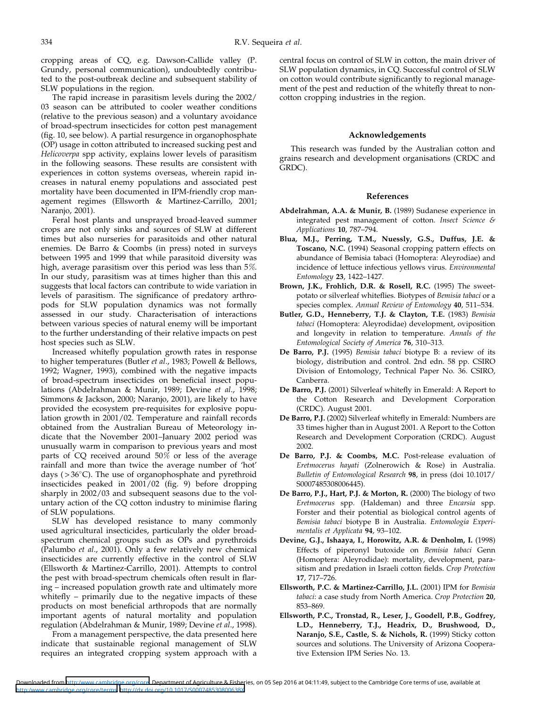cropping areas of CQ, e.g. Dawson-Callide valley (P. Grundy, personal communication), undoubtedly contributed to the post-outbreak decline and subsequent stability of SLW populations in the region.

The rapid increase in parasitism levels during the 2002/ 03 season can be attributed to cooler weather conditions (relative to the previous season) and a voluntary avoidance of broad-spectrum insecticides for cotton pest management (fig. 10, see below). A partial resurgence in organophosphate (OP) usage in cotton attributed to increased sucking pest and Helicoverpa spp activity, explains lower levels of parasitism in the following seasons. These results are consistent with experiences in cotton systems overseas, wherein rapid increases in natural enemy populations and associated pest mortality have been documented in IPM-friendly crop management regimes (Ellsworth & Martinez-Carrillo, 2001; Naranjo, 2001).

Feral host plants and unsprayed broad-leaved summer crops are not only sinks and sources of SLW at different times but also nurseries for parasitoids and other natural enemies. De Barro & Coombs (in press) noted in surveys between 1995 and 1999 that while parasitoid diversity was high, average parasitism over this period was less than 5%. In our study, parasitism was at times higher than this and suggests that local factors can contribute to wide variation in levels of parasitism. The significance of predatory arthropods for SLW population dynamics was not formally assessed in our study. Characterisation of interactions between various species of natural enemy will be important to the further understanding of their relative impacts on pest host species such as SLW.

Increased whitefly population growth rates in response to higher temperatures (Butler et al., 1983; Powell & Bellows, 1992; Wagner, 1993), combined with the negative impacts of broad-spectrum insecticides on beneficial insect populations (Abdelrahman & Munir, 1989; Devine et al., 1998; Simmons & Jackson, 2000; Naranjo, 2001), are likely to have provided the ecosystem pre-requisites for explosive population growth in 2001/02. Temperature and rainfall records obtained from the Australian Bureau of Meteorology indicate that the November 2001–January 2002 period was unusually warm in comparison to previous years and most parts of CQ received around  $50\%$  or less of the average rainfall and more than twice the average number of 'hot' days ( $> 36^{\circ}$ C). The use of organophosphate and pyrethroid insecticides peaked in 2001/02 (fig. 9) before dropping sharply in 2002/03 and subsequent seasons due to the voluntary action of the CQ cotton industry to minimise flaring of SLW populations.

SLW has developed resistance to many commonly used agricultural insecticides, particularly the older broadspectrum chemical groups such as OPs and pyrethroids (Palumbo et al., 2001). Only a few relatively new chemical insecticides are currently effective in the control of SLW (Ellsworth & Martinez-Carrillo, 2001). Attempts to control the pest with broad-spectrum chemicals often result in flaring – increased population growth rate and ultimately more whitefly – primarily due to the negative impacts of these products on most beneficial arthropods that are normally important agents of natural mortality and population regulation (Abdelrahman & Munir, 1989; Devine et al., 1998).

From a management perspective, the data presented here indicate that sustainable regional management of SLW requires an integrated cropping system approach with a central focus on control of SLW in cotton, the main driver of SLW population dynamics, in CQ. Successful control of SLW on cotton would contribute significantly to regional management of the pest and reduction of the whitefly threat to noncotton cropping industries in the region.

## Acknowledgements

This research was funded by the Australian cotton and grains research and development organisations (CRDC and GRDC).

## References

- Abdelrahman, A.A. & Munir, B. (1989) Sudanese experience in integrated pest management of cotton. Insect Science & Applications 10, 787–794.
- Blua, M.J., Perring, T.M., Nuessly, G.S., Duffus, J.E. & Toscano, N.C. (1994) Seasonal cropping pattern effects on abundance of Bemisia tabaci (Homoptera: Aleyrodiae) and incidence of lettuce infectious yellows virus. Environmental Entomology 23, 1422–1427.
- Brown, J.K., Frohlich, D.R. & Rosell, R.C. (1995) The sweetpotato or silverleaf whiteflies. Biotypes of Bemisia tabaci or a species complex. Annual Review of Entomology 40, 511-534.
- Butler, G.D., Henneberry, T.J. & Clayton, T.E. (1983) Bemisia tabaci (Homoptera: Aleyrodidae) development, oviposition and longevity in relation to temperature. Annals of the Entomological Society of America 76, 310–313.
- De Barro, P.J. (1995) Bemisia tabaci biotype B: a review of its biology, distribution and control. 2nd edn. 58 pp. CSIRO Division of Entomology, Technical Paper No. 36. CSIRO, Canberra.
- De Barro, P.J. (2001) Silverleaf whitefly in Emerald: A Report to the Cotton Research and Development Corporation (CRDC). August 2001.
- De Barro, P.J. (2002) Silverleaf whitefly in Emerald: Numbers are 33 times higher than in August 2001. A Report to the Cotton Research and Development Corporation (CRDC). August 2002.
- De Barro, P.J. & Coombs, M.C. Post-release evaluation of Eretmocerus hayati (Zolnerowich & Rose) in Australia. Bulletin of Entomological Research 98, in press (doi 10.1017/ S0007485308006445).
- De Barro, P.J., Hart, P.J. & Morton, R. (2000) The biology of two Eretmocerus spp. (Haldeman) and three Encarsia spp. Forster and their potential as biological control agents of Bemisia tabaci biotype B in Australia. Entomologia Experimentalis et Applicata 94, 93–102.
- Devine, G.J., Ishaaya, I., Horowitz, A.R. & Denholm, I. (1998) Effects of piperonyl butoxide on Bemisia tabaci Genn (Homoptera: Aleyrodidae): mortality, development, parasitism and predation in Israeli cotton fields. Crop Protection 17, 717–726.
- Ellsworth, P.C. & Martinez-Carrillo, J.L. (2001) IPM for Bemisia tabaci: a case study from North America. Crop Protection 20, 853–869.
- Ellsworth, P.C., Tronstad, R., Leser, J., Goodell, P.B., Godfrey, L.D., Henneberry, T.J., Headrix, D., Brushwood, D., Naranjo, S.E., Castle, S. & Nichols, R. (1999) Sticky cotton sources and solutions. The University of Arizona Cooperative Extension IPM Series No. 13.